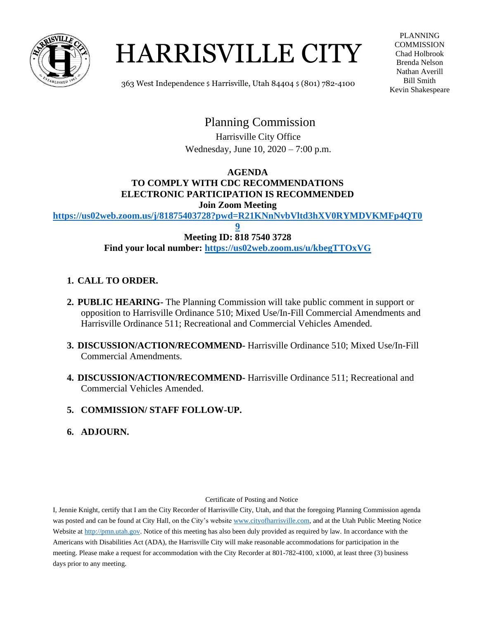

# HARRISVILLE CITY

PLANNING **COMMISSION** Chad Holbrook Brenda Nelson Nathan Averill Bill Smith Kevin Shakespeare

363 West Independence \$ Harrisville, Utah 84404 \$ (801) 782-4100

# Planning Commission

 Harrisville City Office Wednesday, June 10, 2020 – 7:00 p.m.

#### **AGENDA TO COMPLY WITH CDC RECOMMENDATIONS ELECTRONIC PARTICIPATION IS RECOMMENDED Join Zoom Meeting**

**[https://us02web.zoom.us/j/81875403728?pwd=R21KNnNvbVltd3hXV0RYMDVKMFp4QT0](https://us02web.zoom.us/j/81875403728?pwd=R21KNnNvbVltd3hXV0RYMDVKMFp4QT09)**

**[9](https://us02web.zoom.us/j/81875403728?pwd=R21KNnNvbVltd3hXV0RYMDVKMFp4QT09) Meeting ID: 818 7540 3728 Find your local number:<https://us02web.zoom.us/u/kbegTTOxVG>**

# **1. CALL TO ORDER.**

- **2. PUBLIC HEARING-** The Planning Commission will take public comment in support or opposition to Harrisville Ordinance 510; Mixed Use/In-Fill Commercial Amendments and Harrisville Ordinance 511; Recreational and Commercial Vehicles Amended.
- **3. DISCUSSION/ACTION/RECOMMEND-** Harrisville Ordinance 510; Mixed Use/In-Fill Commercial Amendments.
- **4. DISCUSSION/ACTION/RECOMMEND-** Harrisville Ordinance 511; Recreational and Commercial Vehicles Amended.
- **5. COMMISSION/ STAFF FOLLOW-UP.**
- **6. ADJOURN.**

Certificate of Posting and Notice

I, Jennie Knight, certify that I am the City Recorder of Harrisville City, Utah, and that the foregoing Planning Commission agenda was posted and can be found at City Hall, on the City's websit[e www.cityofharrisville.com,](http://www.cityofharrisville.com/) and at the Utah Public Meeting Notice Website at [http://pmn.utah.gov.](http://pmn.utah.gov/) Notice of this meeting has also been duly provided as required by law. In accordance with the Americans with Disabilities Act (ADA), the Harrisville City will make reasonable accommodations for participation in the meeting. Please make a request for accommodation with the City Recorder at 801-782-4100, x1000, at least three (3) business days prior to any meeting.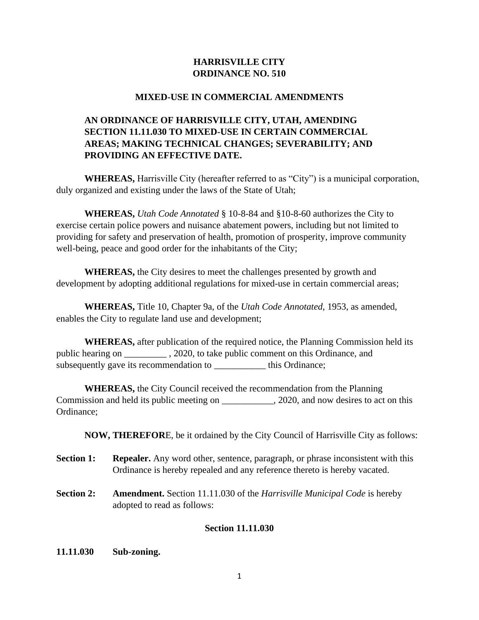# **HARRISVILLE CITY ORDINANCE NO. 510**

#### **MIXED-USE IN COMMERCIAL AMENDMENTS**

# **AN ORDINANCE OF HARRISVILLE CITY, UTAH, AMENDING SECTION 11.11.030 TO MIXED-USE IN CERTAIN COMMERCIAL AREAS; MAKING TECHNICAL CHANGES; SEVERABILITY; AND PROVIDING AN EFFECTIVE DATE.**

**WHEREAS,** Harrisville City (hereafter referred to as "City") is a municipal corporation, duly organized and existing under the laws of the State of Utah;

**WHEREAS,** *Utah Code Annotated* § 10-8-84 and §10-8-60 authorizes the City to exercise certain police powers and nuisance abatement powers, including but not limited to providing for safety and preservation of health, promotion of prosperity, improve community well-being, peace and good order for the inhabitants of the City;

**WHEREAS,** the City desires to meet the challenges presented by growth and development by adopting additional regulations for mixed-use in certain commercial areas;

**WHEREAS,** Title 10, Chapter 9a, of the *Utah Code Annotated*, 1953, as amended, enables the City to regulate land use and development;

**WHEREAS,** after publication of the required notice, the Planning Commission held its public hearing on \_\_\_\_\_\_\_\_\_ , 2020, to take public comment on this Ordinance, and subsequently gave its recommendation to **we consider the Commendation** to  $\sim$ 

**WHEREAS,** the City Council received the recommendation from the Planning Commission and held its public meeting on \_\_\_\_\_\_\_\_\_\_\_, 2020, and now desires to act on this Ordinance;

**NOW, THEREFOR**E, be it ordained by the City Council of Harrisville City as follows:

- **Section 1: Repealer.** Any word other, sentence, paragraph, or phrase inconsistent with this Ordinance is hereby repealed and any reference thereto is hereby vacated.
- **Section 2: Amendment.** Section 11.11.030 of the *Harrisville Municipal Code* is hereby adopted to read as follows:

## **Section 11.11.030**

**11.11.030 Sub-zoning.**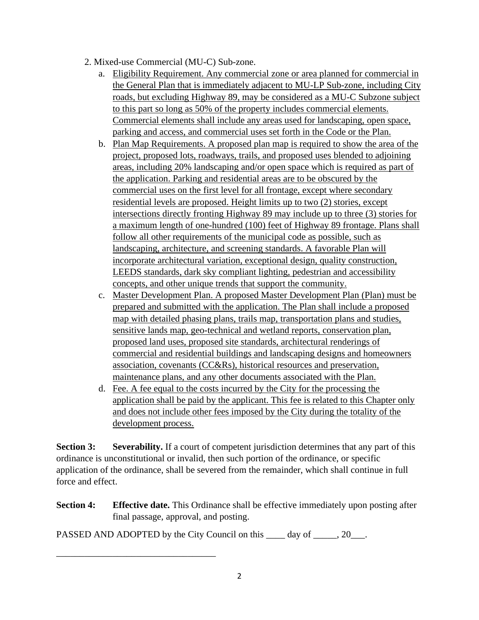- 2. Mixed-use Commercial (MU-C) Sub-zone.
	- a. Eligibility Requirement. Any commercial zone or area planned for commercial in the General Plan that is immediately adjacent to MU-LP Sub-zone, including City roads, but excluding Highway 89, may be considered as a MU-C Subzone subject to this part so long as 50% of the property includes commercial elements. Commercial elements shall include any areas used for landscaping, open space, parking and access, and commercial uses set forth in the Code or the Plan.
	- b. Plan Map Requirements. A proposed plan map is required to show the area of the project, proposed lots, roadways, trails, and proposed uses blended to adjoining areas, including 20% landscaping and/or open space which is required as part of the application. Parking and residential areas are to be obscured by the commercial uses on the first level for all frontage, except where secondary residential levels are proposed. Height limits up to two (2) stories, except intersections directly fronting Highway 89 may include up to three (3) stories for a maximum length of one-hundred (100) feet of Highway 89 frontage. Plans shall follow all other requirements of the municipal code as possible, such as landscaping, architecture, and screening standards. A favorable Plan will incorporate architectural variation, exceptional design, quality construction, LEEDS standards, dark sky compliant lighting, pedestrian and accessibility concepts, and other unique trends that support the community.
	- c. Master Development Plan. A proposed Master Development Plan (Plan) must be prepared and submitted with the application. The Plan shall include a proposed map with detailed phasing plans, trails map, transportation plans and studies, sensitive lands map, geo-technical and wetland reports, conservation plan, proposed land uses, proposed site standards, architectural renderings of commercial and residential buildings and landscaping designs and homeowners association, covenants (CC&Rs), historical resources and preservation, maintenance plans, and any other documents associated with the Plan.
	- d. Fee. A fee equal to the costs incurred by the City for the processing the application shall be paid by the applicant. This fee is related to this Chapter only and does not include other fees imposed by the City during the totality of the development process.

**Section 3:** Severability. If a court of competent jurisdiction determines that any part of this ordinance is unconstitutional or invalid, then such portion of the ordinance, or specific application of the ordinance, shall be severed from the remainder, which shall continue in full force and effect.

**Section 4: Effective date.** This Ordinance shall be effective immediately upon posting after final passage, approval, and posting.

PASSED AND ADOPTED by the City Council on this day of . 20.

\_\_\_\_\_\_\_\_\_\_\_\_\_\_\_\_\_\_\_\_\_\_\_\_\_\_\_\_\_\_\_\_\_\_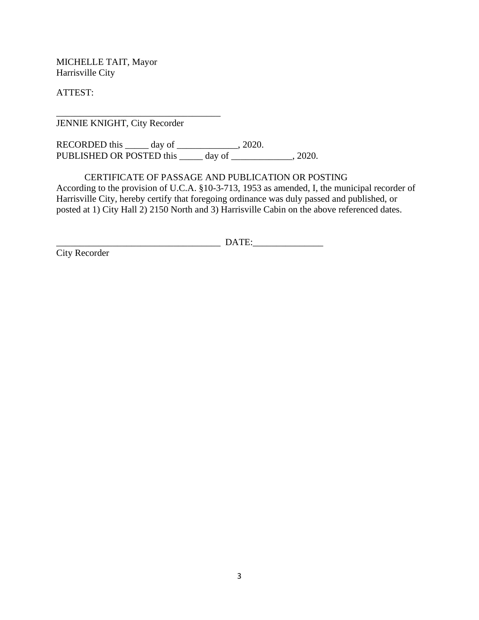MICHELLE TAIT, Mayor Harrisville City

ATTEST:

JENNIE KNIGHT, City Recorder

\_\_\_\_\_\_\_\_\_\_\_\_\_\_\_\_\_\_\_\_\_\_\_\_\_\_\_\_\_\_\_\_\_\_\_

RECORDED this \_\_\_\_\_ day of \_\_\_\_\_\_\_\_\_\_\_\_\_, 2020. PUBLISHED OR POSTED this \_\_\_\_\_ day of \_\_\_\_\_\_\_\_\_\_\_\_, 2020.

CERTIFICATE OF PASSAGE AND PUBLICATION OR POSTING According to the provision of U.C.A. §10-3-713, 1953 as amended, I, the municipal recorder of Harrisville City, hereby certify that foregoing ordinance was duly passed and published, or posted at 1) City Hall 2) 2150 North and 3) Harrisville Cabin on the above referenced dates.

\_\_\_\_\_\_\_\_\_\_\_\_\_\_\_\_\_\_\_\_\_\_\_\_\_\_\_\_\_\_\_\_\_\_\_ DATE:\_\_\_\_\_\_\_\_\_\_\_\_\_\_\_

City Recorder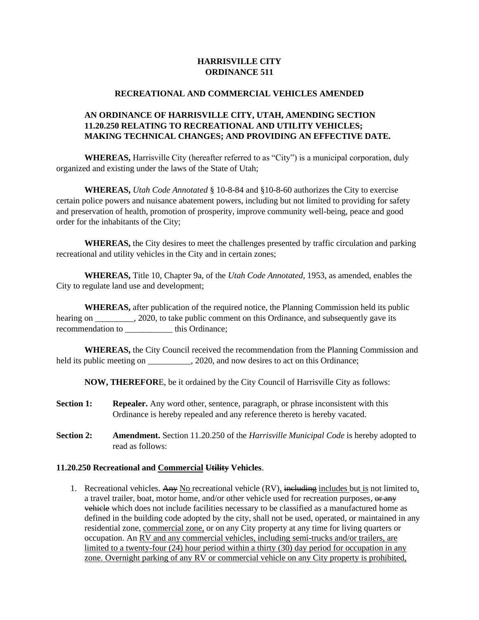#### **HARRISVILLE CITY ORDINANCE 511**

#### **RECREATIONAL AND COMMERCIAL VEHICLES AMENDED**

#### **AN ORDINANCE OF HARRISVILLE CITY, UTAH, AMENDING SECTION 11.20.250 RELATING TO RECREATIONAL AND UTILITY VEHICLES; MAKING TECHNICAL CHANGES; AND PROVIDING AN EFFECTIVE DATE.**

**WHEREAS,** Harrisville City (hereafter referred to as "City") is a municipal corporation, duly organized and existing under the laws of the State of Utah;

**WHEREAS,** *Utah Code Annotated* § 10-8-84 and §10-8-60 authorizes the City to exercise certain police powers and nuisance abatement powers, including but not limited to providing for safety and preservation of health, promotion of prosperity, improve community well-being, peace and good order for the inhabitants of the City;

**WHEREAS,** the City desires to meet the challenges presented by traffic circulation and parking recreational and utility vehicles in the City and in certain zones;

**WHEREAS,** Title 10, Chapter 9a, of the *Utah Code Annotated*, 1953, as amended, enables the City to regulate land use and development;

**WHEREAS,** after publication of the required notice, the Planning Commission held its public hearing on \_\_\_\_\_\_\_\_, 2020, to take public comment on this Ordinance, and subsequently gave its recommendation to this Ordinance;

**WHEREAS,** the City Council received the recommendation from the Planning Commission and held its public meeting on \_\_\_\_\_\_\_\_, 2020, and now desires to act on this Ordinance;

**NOW, THEREFOR**E, be it ordained by the City Council of Harrisville City as follows:

- **Section 1: Repealer.** Any word other, sentence, paragraph, or phrase inconsistent with this Ordinance is hereby repealed and any reference thereto is hereby vacated.
- **Section 2: Amendment.** Section 11.20.250 of the *Harrisville Municipal Code* is hereby adopted to read as follows:

#### **[11.20.250 Recreational and Commercial](https://harrisville.municipalcodeonline.com/book?type=ordinances#name=11.20.250_Recreational_And_Utility_Vehicles) Utility Vehicles**.

1. Recreational vehicles. Any No recreational vehicle  $(RV)$ , including includes but is not limited to, a travel trailer, boat, motor home, and/or other vehicle used for recreation purposes, or any vehicle which does not include facilities necessary to be classified as a manufactured home as defined in the building code adopted by the city, shall not be used, operated, or maintained in any residential zone, commercial zone, or on any City property at any time for living quarters or occupation. An RV and any commercial vehicles, including semi-trucks and/or trailers, are limited to a twenty-four (24) hour period within a thirty (30) day period for occupation in any zone. Overnight parking of any RV or commercial vehicle on any City property is prohibited,